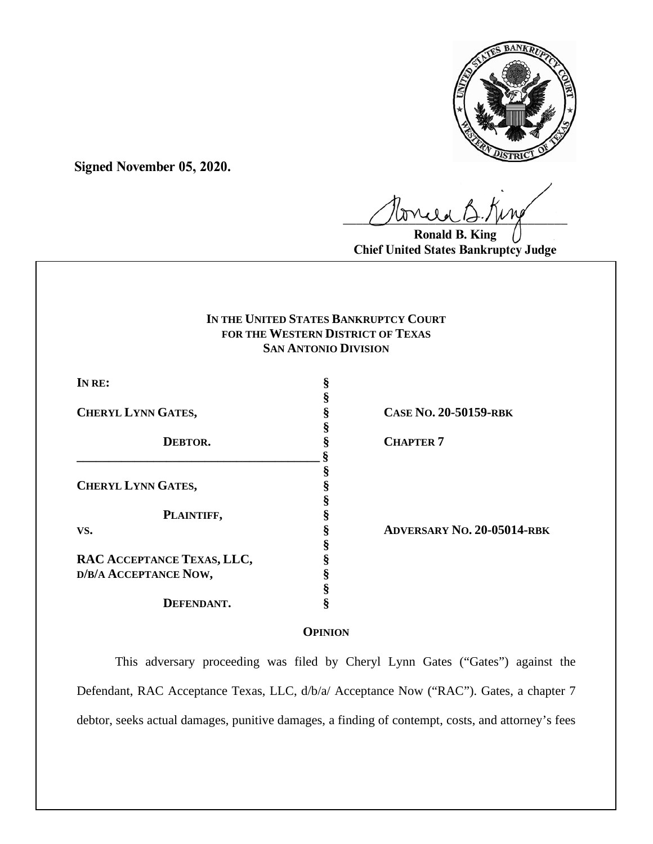

**Signed November 05, 2020.**

 $U^{WVQQ}$ 

**Ronald B. King Chief United States Bankruptcy Judge**

# **IN THE UNITED STATES BANKRUPTCY COURT FOR THE WESTERN DISTRICT OF TEXAS SAN ANTONIO DIVISION**

| IN RE:                     | §                 |
|----------------------------|-------------------|
|                            | §<br>§            |
| <b>CHERYL LYNN GATES,</b>  |                   |
| DEBTOR.                    | §<br>§<br>§       |
|                            |                   |
| <b>CHERYL LYNN GATES,</b>  | es es es es es es |
|                            |                   |
| PLAINTIFF,                 |                   |
| VS.                        |                   |
|                            |                   |
| RAC ACCEPTANCE TEXAS, LLC, | §                 |
| D/B/A ACCEPTANCE NOW,      | §                 |
|                            | §                 |
| DEFENDANT.                 | §                 |

**CHERYL LYNN GATES, § CASE NO. 20-50159-RBK**

**CHAPTER 7** 

**VS. § ADVERSARY NO. 20-05014-RBK** 

# **OPINION**

This adversary proceeding was filed by Cheryl Lynn Gates ("Gates") against the Defendant, RAC Acceptance Texas, LLC, d/b/a/ Acceptance Now ("RAC"). Gates, a chapter 7 debtor, seeks actual damages, punitive damages, a finding of contempt, costs, and attorney's fees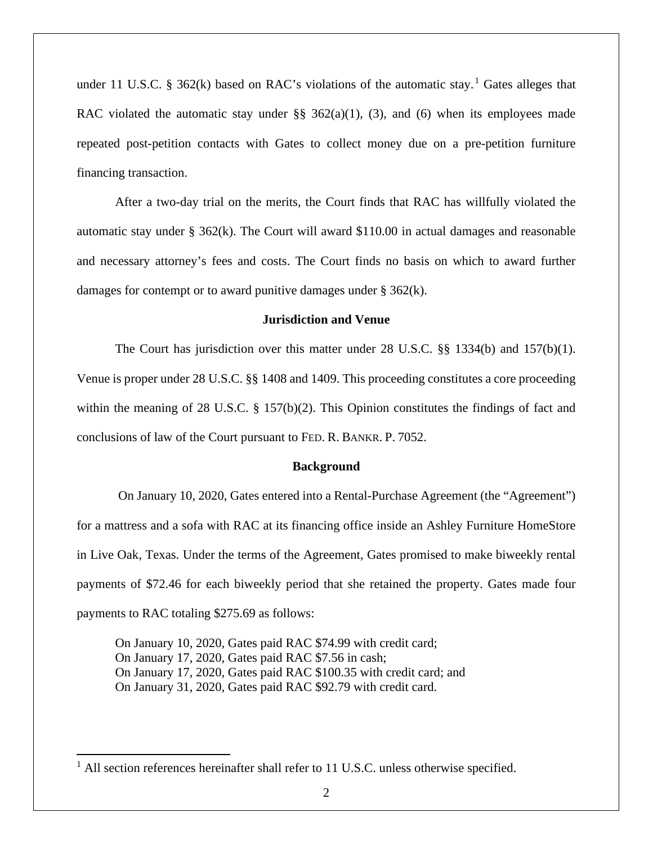under 11 U.S.C. § 362 $(k)$  based on RAC's violations of the automatic stay.<sup>1</sup> Gates alleges that RAC violated the automatic stay under  $\S$ § 362(a)(1), (3), and (6) when its employees made repeated post-petition contacts with Gates to collect money due on a pre-petition furniture financing transaction.

After a two-day trial on the merits, the Court finds that RAC has willfully violated the automatic stay under § 362(k). The Court will award \$110.00 in actual damages and reasonable and necessary attorney's fees and costs. The Court finds no basis on which to award further damages for contempt or to award punitive damages under § 362(k).

## **Jurisdiction and Venue**

The Court has jurisdiction over this matter under 28 U.S.C. §§ 1334(b) and 157(b)(1). Venue is proper under 28 U.S.C. §§ 1408 and 1409. This proceeding constitutes a core proceeding within the meaning of 28 U.S.C. § 157(b)(2). This Opinion constitutes the findings of fact and conclusions of law of the Court pursuant to FED. R. BANKR. P. 7052.

#### **Background**

On January 10, 2020, Gates entered into a Rental-Purchase Agreement (the "Agreement") for a mattress and a sofa with RAC at its financing office inside an Ashley Furniture HomeStore in Live Oak, Texas. Under the terms of the Agreement, Gates promised to make biweekly rental payments of \$72.46 for each biweekly period that she retained the property. Gates made four payments to RAC totaling \$275.69 as follows:

On January 10, 2020, Gates paid RAC \$74.99 with credit card; On January 17, 2020, Gates paid RAC \$7.56 in cash; On January 17, 2020, Gates paid RAC \$100.35 with credit card; and On January 31, 2020, Gates paid RAC \$92.79 with credit card.

<sup>&</sup>lt;sup>1</sup> All section references hereinafter shall refer to 11 U.S.C. unless otherwise specified.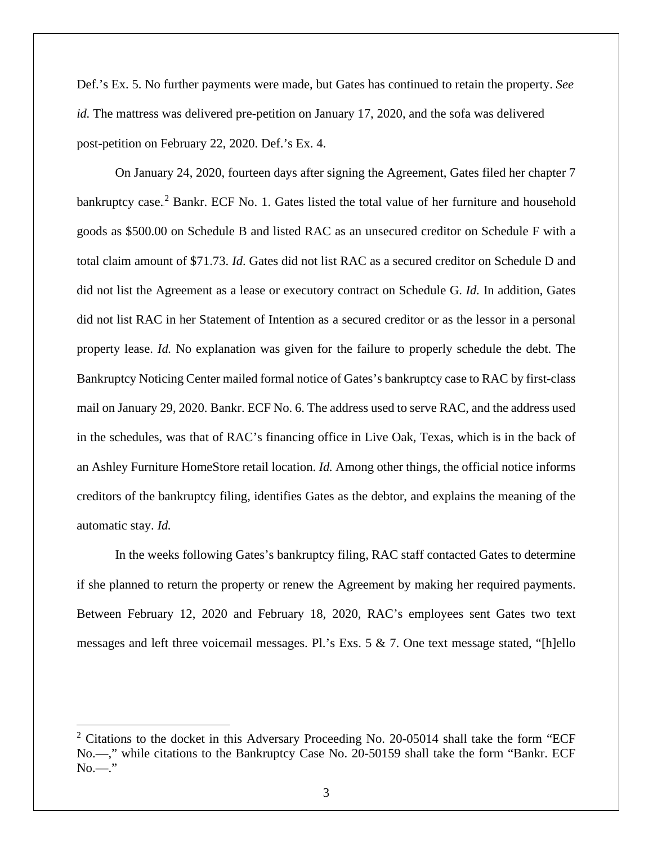Def.'s Ex. 5. No further payments were made, but Gates has continued to retain the property. *See id.* The mattress was delivered pre-petition on January 17, 2020, and the sofa was delivered post-petition on February 22, 2020. Def.'s Ex. 4.

On January 24, 2020, fourteen days after signing the Agreement, Gates filed her chapter 7 bankruptcy case.<sup>2</sup> Bankr. ECF No. 1. Gates listed the total value of her furniture and household goods as \$500.00 on Schedule B and listed RAC as an unsecured creditor on Schedule F with a total claim amount of \$71.73. *Id*. Gates did not list RAC as a secured creditor on Schedule D and did not list the Agreement as a lease or executory contract on Schedule G. *Id.* In addition, Gates did not list RAC in her Statement of Intention as a secured creditor or as the lessor in a personal property lease. *Id.* No explanation was given for the failure to properly schedule the debt. The Bankruptcy Noticing Center mailed formal notice of Gates's bankruptcy case to RAC by first-class mail on January 29, 2020. Bankr. ECF No. 6. The address used to serve RAC, and the address used in the schedules, was that of RAC's financing office in Live Oak, Texas, which is in the back of an Ashley Furniture HomeStore retail location. *Id.* Among other things, the official notice informs creditors of the bankruptcy filing, identifies Gates as the debtor, and explains the meaning of the automatic stay. *Id.*

In the weeks following Gates's bankruptcy filing, RAC staff contacted Gates to determine if she planned to return the property or renew the Agreement by making her required payments. Between February 12, 2020 and February 18, 2020, RAC's employees sent Gates two text messages and left three voicemail messages. Pl.'s Exs. 5 & 7. One text message stated, "[h]ello

 $2$  Citations to the docket in this Adversary Proceeding No. 20-05014 shall take the form "ECF No.—," while citations to the Bankruptcy Case No. 20-50159 shall take the form "Bankr. ECF  $No...$ "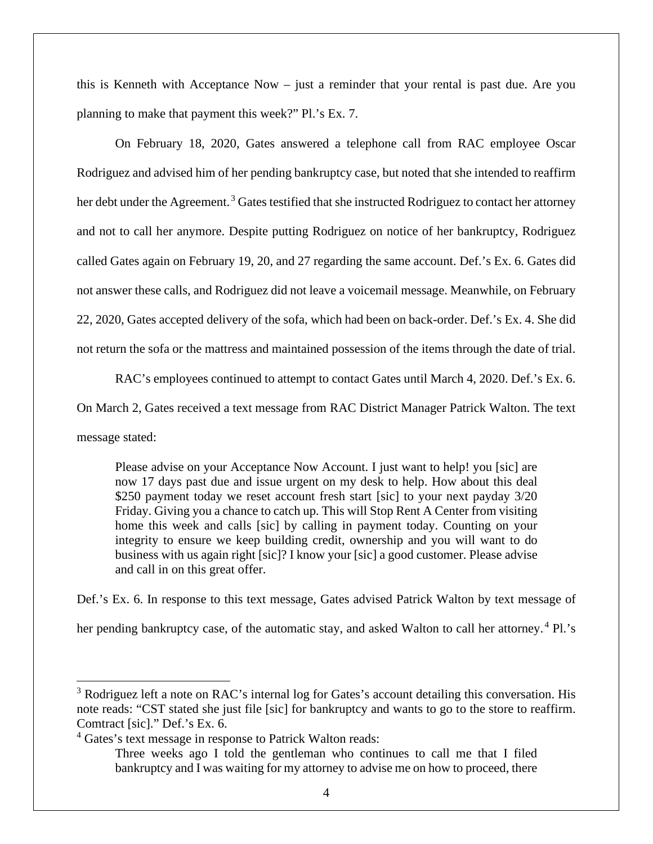this is Kenneth with Acceptance Now – just a reminder that your rental is past due. Are you planning to make that payment this week?" Pl.'s Ex. 7.

On February 18, 2020, Gates answered a telephone call from RAC employee Oscar Rodriguez and advised him of her pending bankruptcy case, but noted that she intended to reaffirm her debt under the Agreement.<sup>3</sup> Gates testified that she instructed Rodriguez to contact her attorney and not to call her anymore. Despite putting Rodriguez on notice of her bankruptcy, Rodriguez called Gates again on February 19, 20, and 27 regarding the same account. Def.'s Ex. 6. Gates did not answer these calls, and Rodriguez did not leave a voicemail message. Meanwhile, on February 22, 2020, Gates accepted delivery of the sofa, which had been on back-order. Def.'s Ex. 4. She did not return the sofa or the mattress and maintained possession of the items through the date of trial.

RAC's employees continued to attempt to contact Gates until March 4, 2020. Def.'s Ex. 6. On March 2, Gates received a text message from RAC District Manager Patrick Walton. The text message stated:

Please advise on your Acceptance Now Account. I just want to help! you [sic] are now 17 days past due and issue urgent on my desk to help. How about this deal \$250 payment today we reset account fresh start [sic] to your next payday 3/20 Friday. Giving you a chance to catch up. This will Stop Rent A Center from visiting home this week and calls [sic] by calling in payment today. Counting on your integrity to ensure we keep building credit, ownership and you will want to do business with us again right [sic]? I know your [sic] a good customer. Please advise and call in on this great offer.

Def.'s Ex. 6. In response to this text message, Gates advised Patrick Walton by text message of her pending bankruptcy case, of the automatic stay, and asked Walton to call her attorney.<sup>4</sup> Pl.'s

<sup>&</sup>lt;sup>3</sup> Rodriguez left a note on RAC's internal log for Gates's account detailing this conversation. His note reads: "CST stated she just file [sic] for bankruptcy and wants to go to the store to reaffirm. Comtract [sic]." Def.'s Ex. 6.

<sup>4</sup> Gates's text message in response to Patrick Walton reads:

Three weeks ago I told the gentleman who continues to call me that I filed bankruptcy and I was waiting for my attorney to advise me on how to proceed, there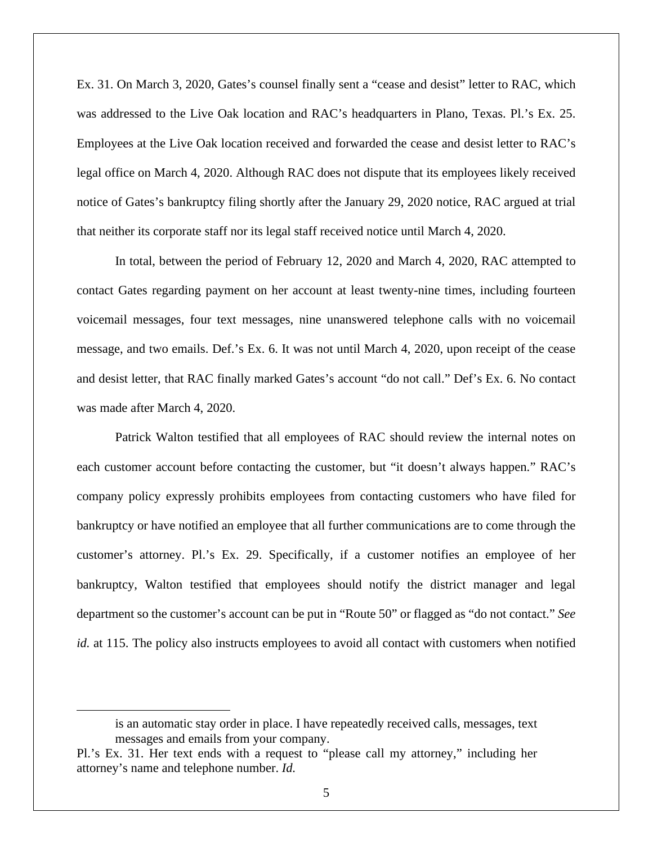Ex. 31. On March 3, 2020, Gates's counsel finally sent a "cease and desist" letter to RAC, which was addressed to the Live Oak location and RAC's headquarters in Plano, Texas. Pl.'s Ex. 25. Employees at the Live Oak location received and forwarded the cease and desist letter to RAC's legal office on March 4, 2020. Although RAC does not dispute that its employees likely received notice of Gates's bankruptcy filing shortly after the January 29, 2020 notice, RAC argued at trial that neither its corporate staff nor its legal staff received notice until March 4, 2020.

In total, between the period of February 12, 2020 and March 4, 2020, RAC attempted to contact Gates regarding payment on her account at least twenty-nine times, including fourteen voicemail messages, four text messages, nine unanswered telephone calls with no voicemail message, and two emails. Def.'s Ex. 6. It was not until March 4, 2020, upon receipt of the cease and desist letter, that RAC finally marked Gates's account "do not call." Def's Ex. 6. No contact was made after March 4, 2020.

Patrick Walton testified that all employees of RAC should review the internal notes on each customer account before contacting the customer, but "it doesn't always happen." RAC's company policy expressly prohibits employees from contacting customers who have filed for bankruptcy or have notified an employee that all further communications are to come through the customer's attorney. Pl.'s Ex. 29. Specifically, if a customer notifies an employee of her bankruptcy, Walton testified that employees should notify the district manager and legal department so the customer's account can be put in "Route 50" or flagged as "do not contact." *See id.* at 115. The policy also instructs employees to avoid all contact with customers when notified

is an automatic stay order in place. I have repeatedly received calls, messages, text messages and emails from your company.

Pl.'s Ex. 31. Her text ends with a request to "please call my attorney," including her attorney's name and telephone number. *Id.*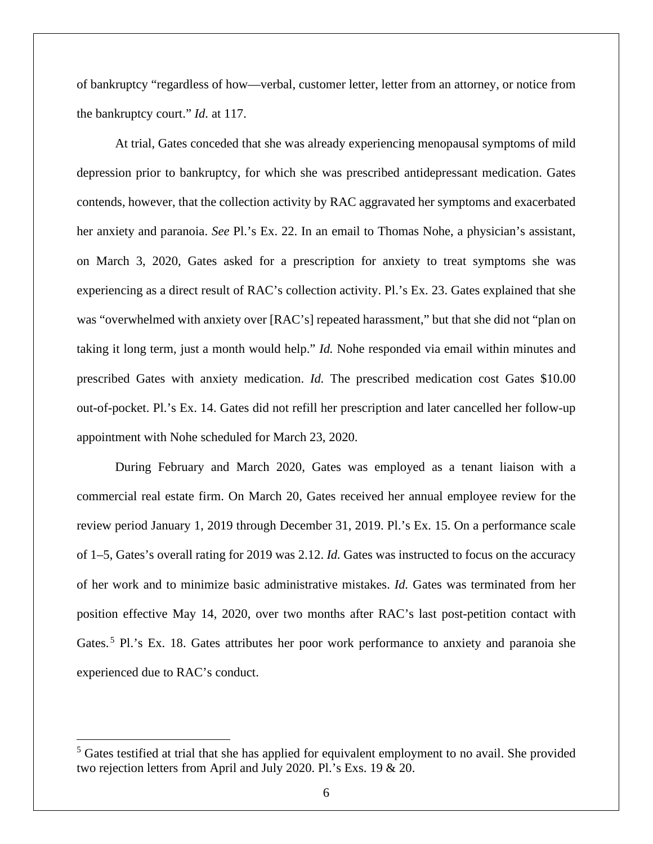of bankruptcy "regardless of how—verbal, customer letter, letter from an attorney, or notice from the bankruptcy court." *Id.* at 117.

At trial, Gates conceded that she was already experiencing menopausal symptoms of mild depression prior to bankruptcy, for which she was prescribed antidepressant medication. Gates contends, however, that the collection activity by RAC aggravated her symptoms and exacerbated her anxiety and paranoia. *See* Pl.'s Ex. 22. In an email to Thomas Nohe, a physician's assistant, on March 3, 2020, Gates asked for a prescription for anxiety to treat symptoms she was experiencing as a direct result of RAC's collection activity. Pl.'s Ex. 23. Gates explained that she was "overwhelmed with anxiety over [RAC's] repeated harassment," but that she did not "plan on taking it long term, just a month would help." *Id.* Nohe responded via email within minutes and prescribed Gates with anxiety medication. *Id.* The prescribed medication cost Gates \$10.00 out-of-pocket. Pl.'s Ex. 14. Gates did not refill her prescription and later cancelled her follow-up appointment with Nohe scheduled for March 23, 2020.

During February and March 2020, Gates was employed as a tenant liaison with a commercial real estate firm. On March 20, Gates received her annual employee review for the review period January 1, 2019 through December 31, 2019. Pl.'s Ex. 15. On a performance scale of 1–5, Gates's overall rating for 2019 was 2.12. *Id.* Gates was instructed to focus on the accuracy of her work and to minimize basic administrative mistakes. *Id.* Gates was terminated from her position effective May 14, 2020, over two months after RAC's last post-petition contact with Gates.<sup>5</sup> Pl.'s Ex. 18. Gates attributes her poor work performance to anxiety and paranoia she experienced due to RAC's conduct.

<sup>&</sup>lt;sup>5</sup> Gates testified at trial that she has applied for equivalent employment to no avail. She provided two rejection letters from April and July 2020. Pl.'s Exs. 19 & 20.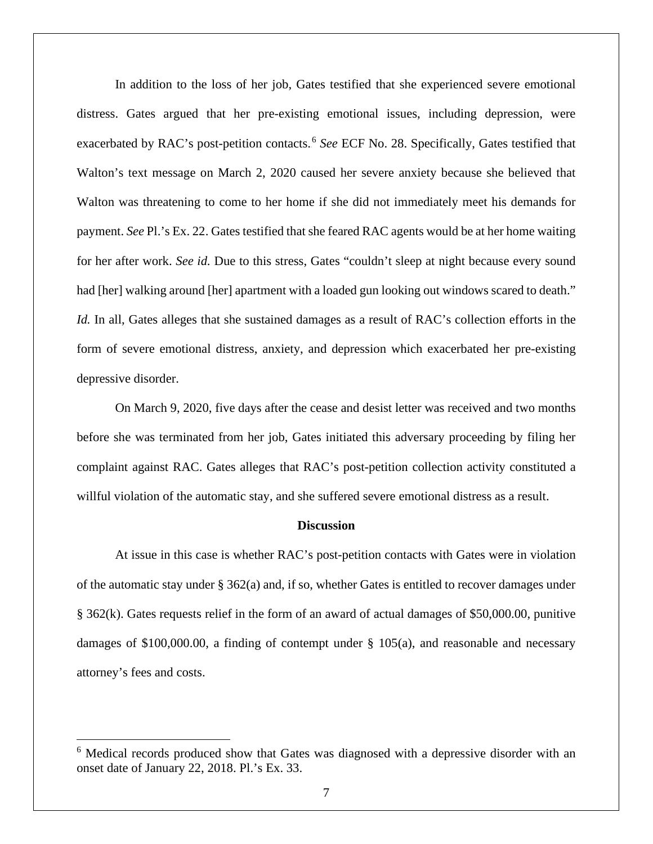In addition to the loss of her job, Gates testified that she experienced severe emotional distress. Gates argued that her pre-existing emotional issues, including depression, were exacerbated by RAC's post-petition contacts.<sup>6</sup> See ECF No. 28. Specifically, Gates testified that Walton's text message on March 2, 2020 caused her severe anxiety because she believed that Walton was threatening to come to her home if she did not immediately meet his demands for payment. *See* Pl.'s Ex. 22. Gates testified that she feared RAC agents would be at her home waiting for her after work. *See id.* Due to this stress, Gates "couldn't sleep at night because every sound had [her] walking around [her] apartment with a loaded gun looking out windows scared to death." *Id.* In all, Gates alleges that she sustained damages as a result of RAC's collection efforts in the form of severe emotional distress, anxiety, and depression which exacerbated her pre-existing depressive disorder.

On March 9, 2020, five days after the cease and desist letter was received and two months before she was terminated from her job, Gates initiated this adversary proceeding by filing her complaint against RAC. Gates alleges that RAC's post-petition collection activity constituted a willful violation of the automatic stay, and she suffered severe emotional distress as a result.

## **Discussion**

At issue in this case is whether RAC's post-petition contacts with Gates were in violation of the automatic stay under  $\S$  362(a) and, if so, whether Gates is entitled to recover damages under § 362(k). Gates requests relief in the form of an award of actual damages of \$50,000.00, punitive damages of \$100,000.00, a finding of contempt under § 105(a), and reasonable and necessary attorney's fees and costs.

<sup>&</sup>lt;sup>6</sup> Medical records produced show that Gates was diagnosed with a depressive disorder with an onset date of January 22, 2018. Pl.'s Ex. 33.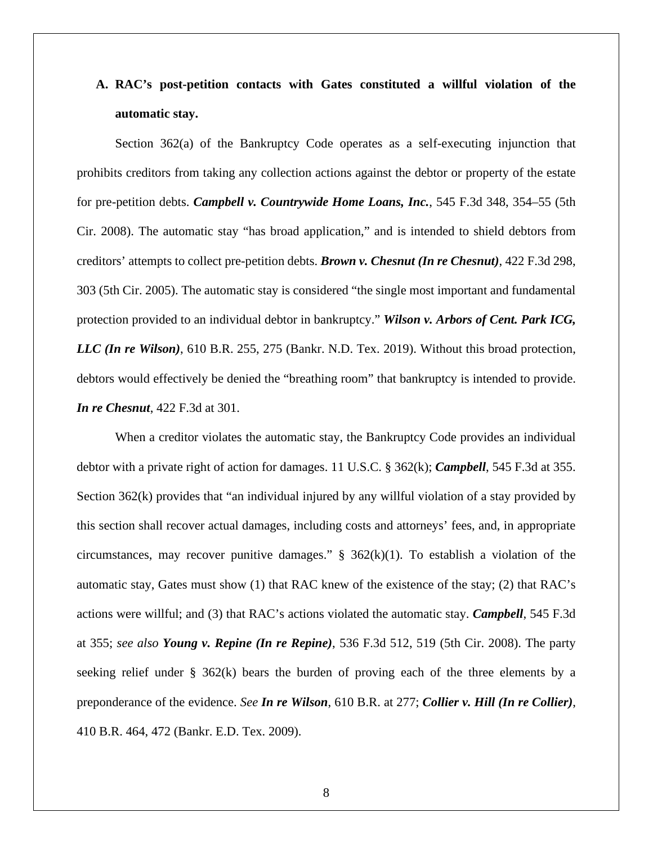# **A. RAC's post-petition contacts with Gates constituted a willful violation of the automatic stay.**

Section 362(a) of the Bankruptcy Code operates as a self-executing injunction that prohibits creditors from taking any collection actions against the debtor or property of the estate for pre-petition debts. *Campbell v. Countrywide Home Loans, Inc.*, 545 F.3d 348, 354–55 (5th Cir. 2008). The automatic stay "has broad application," and is intended to shield debtors from creditors' attempts to collect pre-petition debts. *Brown v. Chesnut (In re Chesnut)*, 422 F.3d 298, 303 (5th Cir. 2005). The automatic stay is considered "the single most important and fundamental protection provided to an individual debtor in bankruptcy." *Wilson v. Arbors of Cent. Park ICG, LLC (In re Wilson)*, 610 B.R. 255, 275 (Bankr. N.D. Tex. 2019). Without this broad protection, debtors would effectively be denied the "breathing room" that bankruptcy is intended to provide. *In re Chesnut*, 422 F.3d at 301.

When a creditor violates the automatic stay, the Bankruptcy Code provides an individual debtor with a private right of action for damages. 11 U.S.C. § 362(k); *Campbell*, 545 F.3d at 355. Section 362(k) provides that "an individual injured by any willful violation of a stay provided by this section shall recover actual damages, including costs and attorneys' fees, and, in appropriate circumstances, may recover punitive damages."  $\S$  362(k)(1). To establish a violation of the automatic stay, Gates must show (1) that RAC knew of the existence of the stay; (2) that RAC's actions were willful; and (3) that RAC's actions violated the automatic stay. *Campbell*, 545 F.3d at 355; *see also Young v. Repine (In re Repine)*, 536 F.3d 512, 519 (5th Cir. 2008). The party seeking relief under  $\S$  362(k) bears the burden of proving each of the three elements by a preponderance of the evidence. *See In re Wilson*, 610 B.R. at 277; *Collier v. Hill (In re Collier)*, 410 B.R. 464, 472 (Bankr. E.D. Tex. 2009).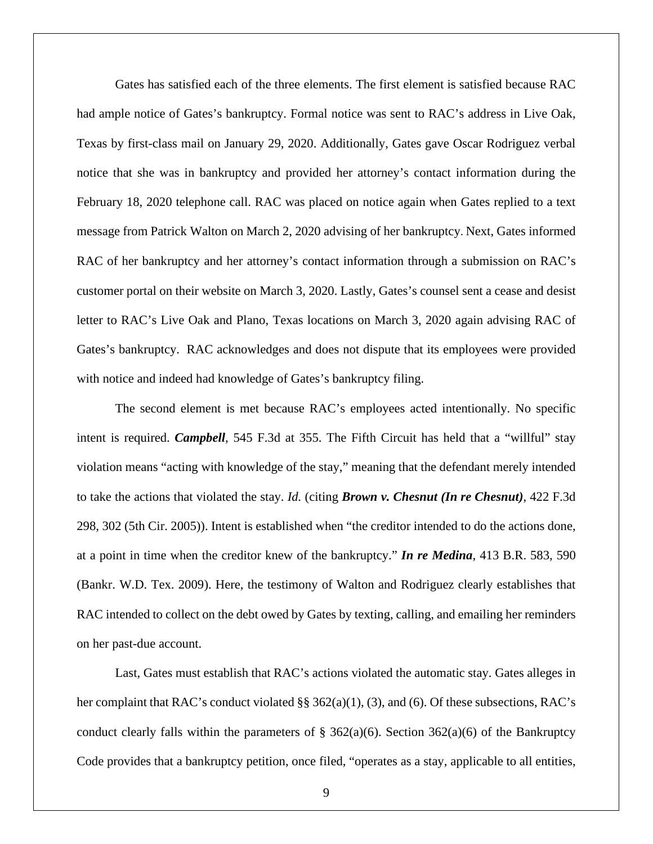Gates has satisfied each of the three elements. The first element is satisfied because RAC had ample notice of Gates's bankruptcy. Formal notice was sent to RAC's address in Live Oak, Texas by first-class mail on January 29, 2020. Additionally, Gates gave Oscar Rodriguez verbal notice that she was in bankruptcy and provided her attorney's contact information during the February 18, 2020 telephone call. RAC was placed on notice again when Gates replied to a text message from Patrick Walton on March 2, 2020 advising of her bankruptcy. Next, Gates informed RAC of her bankruptcy and her attorney's contact information through a submission on RAC's customer portal on their website on March 3, 2020. Lastly, Gates's counsel sent a cease and desist letter to RAC's Live Oak and Plano, Texas locations on March 3, 2020 again advising RAC of Gates's bankruptcy. RAC acknowledges and does not dispute that its employees were provided with notice and indeed had knowledge of Gates's bankruptcy filing.

The second element is met because RAC's employees acted intentionally. No specific intent is required. *Campbell*, 545 F.3d at 355. The Fifth Circuit has held that a "willful" stay violation means "acting with knowledge of the stay," meaning that the defendant merely intended to take the actions that violated the stay. *Id.* (citing *Brown v. Chesnut (In re Chesnut)*, 422 F.3d 298, 302 (5th Cir. 2005)). Intent is established when "the creditor intended to do the actions done, at a point in time when the creditor knew of the bankruptcy." *In re Medina*, 413 B.R. 583, 590 (Bankr. W.D. Tex. 2009). Here, the testimony of Walton and Rodriguez clearly establishes that RAC intended to collect on the debt owed by Gates by texting, calling, and emailing her reminders on her past-due account.

Last, Gates must establish that RAC's actions violated the automatic stay. Gates alleges in her complaint that RAC's conduct violated §§ 362(a)(1), (3), and (6). Of these subsections, RAC's conduct clearly falls within the parameters of  $\S$  362(a)(6). Section 362(a)(6) of the Bankruptcy Code provides that a bankruptcy petition, once filed, "operates as a stay, applicable to all entities,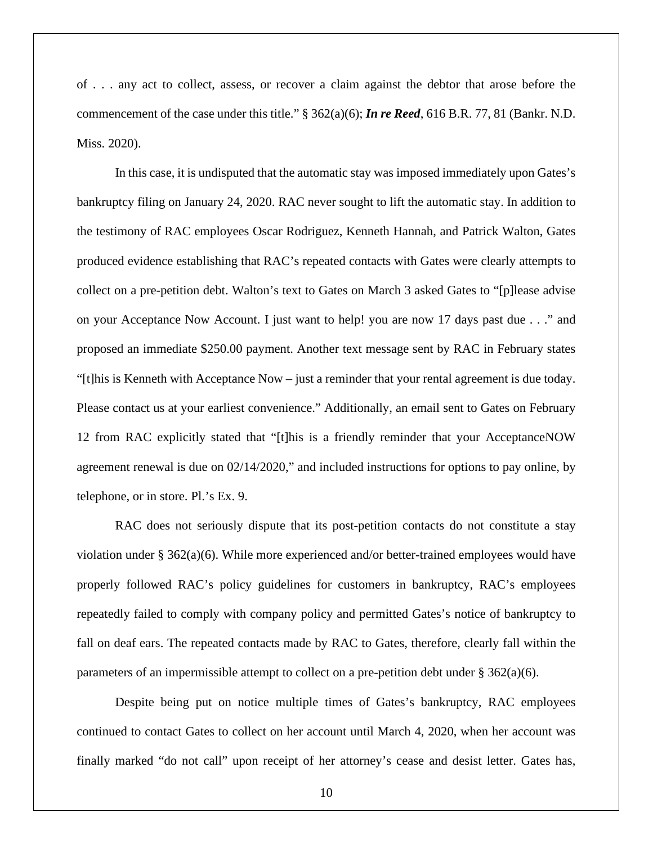of . . . any act to collect, assess, or recover a claim against the debtor that arose before the commencement of the case under this title." § 362(a)(6); *In re Reed*, 616 B.R. 77, 81 (Bankr. N.D. Miss. 2020).

In this case, it is undisputed that the automatic stay was imposed immediately upon Gates's bankruptcy filing on January 24, 2020. RAC never sought to lift the automatic stay. In addition to the testimony of RAC employees Oscar Rodriguez, Kenneth Hannah, and Patrick Walton, Gates produced evidence establishing that RAC's repeated contacts with Gates were clearly attempts to collect on a pre-petition debt. Walton's text to Gates on March 3 asked Gates to "[p]lease advise on your Acceptance Now Account. I just want to help! you are now 17 days past due . . ." and proposed an immediate \$250.00 payment. Another text message sent by RAC in February states "[t]his is Kenneth with Acceptance Now – just a reminder that your rental agreement is due today. Please contact us at your earliest convenience." Additionally, an email sent to Gates on February 12 from RAC explicitly stated that "[t]his is a friendly reminder that your AcceptanceNOW agreement renewal is due on 02/14/2020," and included instructions for options to pay online, by telephone, or in store. Pl.'s Ex. 9.

RAC does not seriously dispute that its post-petition contacts do not constitute a stay violation under § 362(a)(6). While more experienced and/or better-trained employees would have properly followed RAC's policy guidelines for customers in bankruptcy, RAC's employees repeatedly failed to comply with company policy and permitted Gates's notice of bankruptcy to fall on deaf ears. The repeated contacts made by RAC to Gates, therefore, clearly fall within the parameters of an impermissible attempt to collect on a pre-petition debt under  $\S 362(a)(6)$ .

Despite being put on notice multiple times of Gates's bankruptcy, RAC employees continued to contact Gates to collect on her account until March 4, 2020, when her account was finally marked "do not call" upon receipt of her attorney's cease and desist letter. Gates has,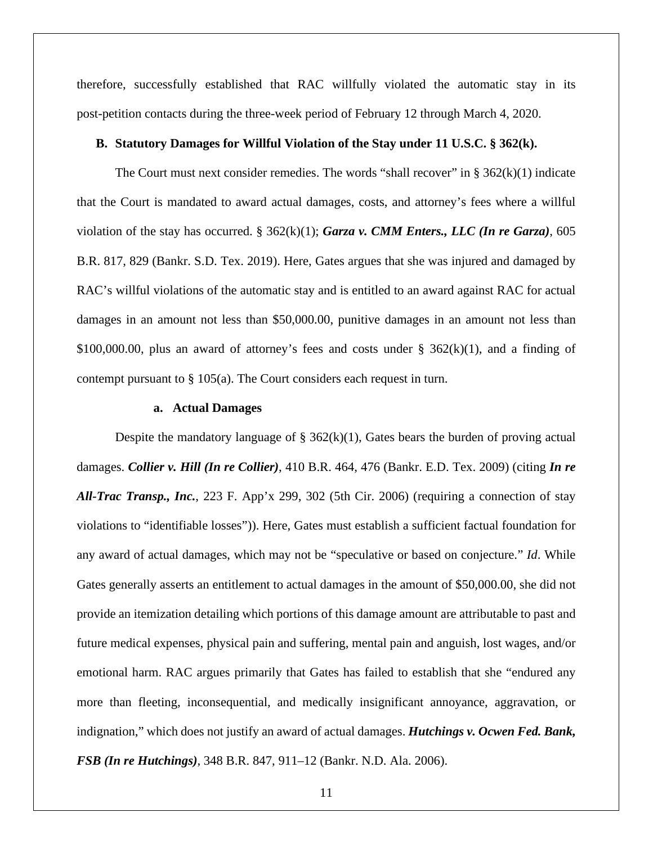therefore, successfully established that RAC willfully violated the automatic stay in its post-petition contacts during the three-week period of February 12 through March 4, 2020.

#### **B. Statutory Damages for Willful Violation of the Stay under 11 U.S.C. § 362(k).**

The Court must next consider remedies. The words "shall recover" in  $\S$  362(k)(1) indicate that the Court is mandated to award actual damages, costs, and attorney's fees where a willful violation of the stay has occurred. § 362(k)(1); *Garza v. CMM Enters., LLC (In re Garza)*, 605 B.R. 817, 829 (Bankr. S.D. Tex. 2019). Here, Gates argues that she was injured and damaged by RAC's willful violations of the automatic stay and is entitled to an award against RAC for actual damages in an amount not less than \$50,000.00, punitive damages in an amount not less than \$100,000.00, plus an award of attorney's fees and costs under  $\S$  362(k)(1), and a finding of contempt pursuant to  $\S 105(a)$ . The Court considers each request in turn.

## **a. Actual Damages**

Despite the mandatory language of  $\S$  362(k)(1), Gates bears the burden of proving actual damages. *Collier v. Hill (In re Collier)*, 410 B.R. 464, 476 (Bankr. E.D. Tex. 2009) (citing *In re All-Trac Transp., Inc.*, 223 F. App'x 299, 302 (5th Cir. 2006) (requiring a connection of stay violations to "identifiable losses")). Here, Gates must establish a sufficient factual foundation for any award of actual damages, which may not be "speculative or based on conjecture." *Id*. While Gates generally asserts an entitlement to actual damages in the amount of \$50,000.00, she did not provide an itemization detailing which portions of this damage amount are attributable to past and future medical expenses, physical pain and suffering, mental pain and anguish, lost wages, and/or emotional harm. RAC argues primarily that Gates has failed to establish that she "endured any more than fleeting, inconsequential, and medically insignificant annoyance, aggravation, or indignation," which does not justify an award of actual damages. *Hutchings v. Ocwen Fed. Bank, FSB (In re Hutchings)*, 348 B.R. 847, 911–12 (Bankr. N.D. Ala. 2006).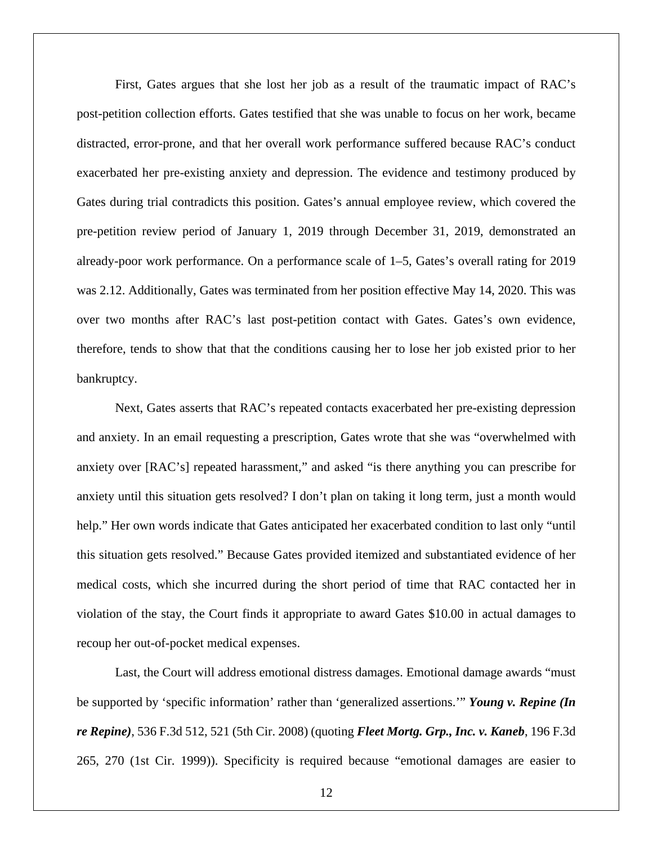First, Gates argues that she lost her job as a result of the traumatic impact of RAC's post-petition collection efforts. Gates testified that she was unable to focus on her work, became distracted, error-prone, and that her overall work performance suffered because RAC's conduct exacerbated her pre-existing anxiety and depression. The evidence and testimony produced by Gates during trial contradicts this position. Gates's annual employee review, which covered the pre-petition review period of January 1, 2019 through December 31, 2019, demonstrated an already-poor work performance. On a performance scale of 1–5, Gates's overall rating for 2019 was 2.12. Additionally, Gates was terminated from her position effective May 14, 2020. This was over two months after RAC's last post-petition contact with Gates. Gates's own evidence, therefore, tends to show that that the conditions causing her to lose her job existed prior to her bankruptcy.

Next, Gates asserts that RAC's repeated contacts exacerbated her pre-existing depression and anxiety. In an email requesting a prescription, Gates wrote that she was "overwhelmed with anxiety over [RAC's] repeated harassment," and asked "is there anything you can prescribe for anxiety until this situation gets resolved? I don't plan on taking it long term, just a month would help." Her own words indicate that Gates anticipated her exacerbated condition to last only "until this situation gets resolved." Because Gates provided itemized and substantiated evidence of her medical costs, which she incurred during the short period of time that RAC contacted her in violation of the stay, the Court finds it appropriate to award Gates \$10.00 in actual damages to recoup her out-of-pocket medical expenses.

Last, the Court will address emotional distress damages. Emotional damage awards "must be supported by 'specific information' rather than 'generalized assertions.'" *Young v. Repine (In re Repine)*, 536 F.3d 512, 521 (5th Cir. 2008) (quoting *Fleet Mortg. Grp., Inc. v. Kaneb*, 196 F.3d 265, 270 (1st Cir. 1999)). Specificity is required because "emotional damages are easier to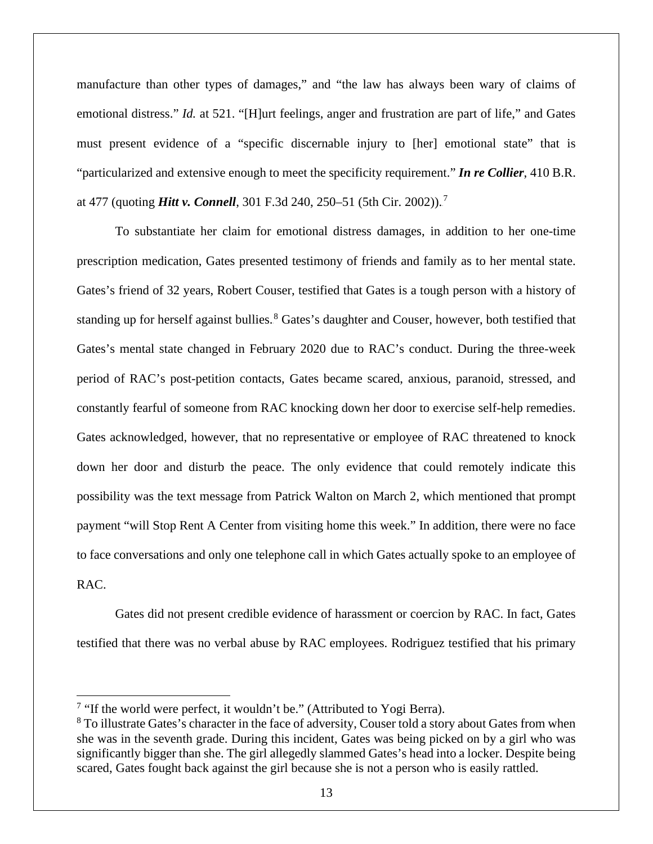manufacture than other types of damages," and "the law has always been wary of claims of emotional distress." *Id.* at 521. "[H]urt feelings, anger and frustration are part of life," and Gates must present evidence of a "specific discernable injury to [her] emotional state" that is "particularized and extensive enough to meet the specificity requirement." *In re Collier*, 410 B.R. at 477 (quoting *Hitt v. Connell*, 301 F.3d 240, 250–51 (5th Cir. 2002)).<sup>7</sup>

To substantiate her claim for emotional distress damages, in addition to her one-time prescription medication, Gates presented testimony of friends and family as to her mental state. Gates's friend of 32 years, Robert Couser, testified that Gates is a tough person with a history of standing up for herself against bullies.<sup>8</sup> Gates's daughter and Couser, however, both testified that Gates's mental state changed in February 2020 due to RAC's conduct. During the three-week period of RAC's post-petition contacts, Gates became scared, anxious, paranoid, stressed, and constantly fearful of someone from RAC knocking down her door to exercise self-help remedies. Gates acknowledged, however, that no representative or employee of RAC threatened to knock down her door and disturb the peace. The only evidence that could remotely indicate this possibility was the text message from Patrick Walton on March 2, which mentioned that prompt payment "will Stop Rent A Center from visiting home this week." In addition, there were no face to face conversations and only one telephone call in which Gates actually spoke to an employee of RAC.

Gates did not present credible evidence of harassment or coercion by RAC. In fact, Gates testified that there was no verbal abuse by RAC employees. Rodriguez testified that his primary

<sup>&</sup>lt;sup>7</sup> "If the world were perfect, it wouldn't be." (Attributed to Yogi Berra).

<sup>&</sup>lt;sup>8</sup> To illustrate Gates's character in the face of adversity, Couser told a story about Gates from when she was in the seventh grade. During this incident, Gates was being picked on by a girl who was significantly bigger than she. The girl allegedly slammed Gates's head into a locker. Despite being scared, Gates fought back against the girl because she is not a person who is easily rattled.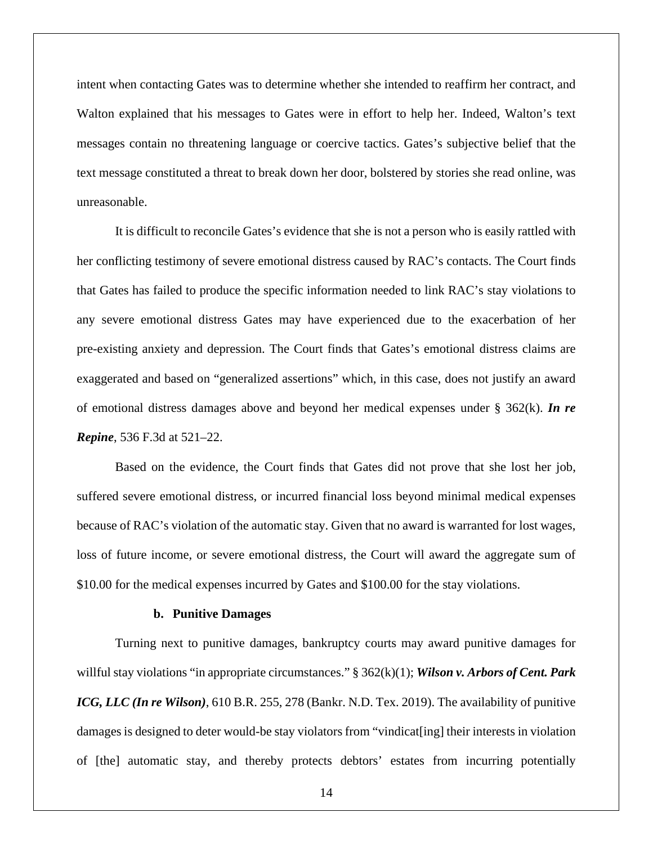intent when contacting Gates was to determine whether she intended to reaffirm her contract, and Walton explained that his messages to Gates were in effort to help her. Indeed, Walton's text messages contain no threatening language or coercive tactics. Gates's subjective belief that the text message constituted a threat to break down her door, bolstered by stories she read online, was unreasonable.

It is difficult to reconcile Gates's evidence that she is not a person who is easily rattled with her conflicting testimony of severe emotional distress caused by RAC's contacts. The Court finds that Gates has failed to produce the specific information needed to link RAC's stay violations to any severe emotional distress Gates may have experienced due to the exacerbation of her pre-existing anxiety and depression. The Court finds that Gates's emotional distress claims are exaggerated and based on "generalized assertions" which, in this case, does not justify an award of emotional distress damages above and beyond her medical expenses under § 362(k). *In re Repine*, 536 F.3d at 521–22.

Based on the evidence, the Court finds that Gates did not prove that she lost her job, suffered severe emotional distress, or incurred financial loss beyond minimal medical expenses because of RAC's violation of the automatic stay. Given that no award is warranted for lost wages, loss of future income, or severe emotional distress, the Court will award the aggregate sum of \$10.00 for the medical expenses incurred by Gates and \$100.00 for the stay violations.

#### **b. Punitive Damages**

Turning next to punitive damages, bankruptcy courts may award punitive damages for willful stay violations "in appropriate circumstances." § 362(k)(1); *Wilson v. Arbors of Cent. Park ICG, LLC (In re Wilson)*, 610 B.R. 255, 278 (Bankr. N.D. Tex. 2019). The availability of punitive damages is designed to deter would-be stay violators from "vindicat[ing] their interests in violation of [the] automatic stay, and thereby protects debtors' estates from incurring potentially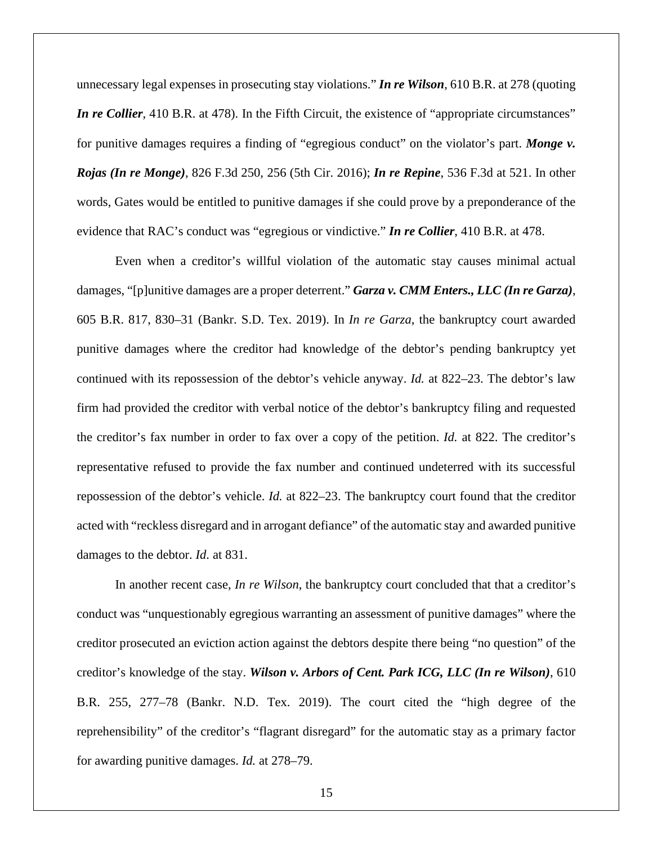unnecessary legal expenses in prosecuting stay violations." *In re Wilson*, 610 B.R. at 278 (quoting *In re Collier*, 410 B.R. at 478). In the Fifth Circuit, the existence of "appropriate circumstances" for punitive damages requires a finding of "egregious conduct" on the violator's part. *Monge v. Rojas (In re Monge)*, 826 F.3d 250, 256 (5th Cir. 2016); *In re Repine*, 536 F.3d at 521. In other words, Gates would be entitled to punitive damages if she could prove by a preponderance of the evidence that RAC's conduct was "egregious or vindictive." *In re Collier*, 410 B.R. at 478.

Even when a creditor's willful violation of the automatic stay causes minimal actual damages, "[p]unitive damages are a proper deterrent." *Garza v. CMM Enters., LLC (In re Garza)*, 605 B.R. 817, 830–31 (Bankr. S.D. Tex. 2019). In *In re Garza*, the bankruptcy court awarded punitive damages where the creditor had knowledge of the debtor's pending bankruptcy yet continued with its repossession of the debtor's vehicle anyway. *Id.* at 822–23. The debtor's law firm had provided the creditor with verbal notice of the debtor's bankruptcy filing and requested the creditor's fax number in order to fax over a copy of the petition. *Id.* at 822. The creditor's representative refused to provide the fax number and continued undeterred with its successful repossession of the debtor's vehicle. *Id.* at 822–23. The bankruptcy court found that the creditor acted with "reckless disregard and in arrogant defiance" of the automatic stay and awarded punitive damages to the debtor. *Id.* at 831.

In another recent case, *In re Wilson*, the bankruptcy court concluded that that a creditor's conduct was "unquestionably egregious warranting an assessment of punitive damages" where the creditor prosecuted an eviction action against the debtors despite there being "no question" of the creditor's knowledge of the stay. *Wilson v. Arbors of Cent. Park ICG, LLC (In re Wilson)*, 610 B.R. 255, 277–78 (Bankr. N.D. Tex. 2019). The court cited the "high degree of the reprehensibility" of the creditor's "flagrant disregard" for the automatic stay as a primary factor for awarding punitive damages. *Id.* at 278–79.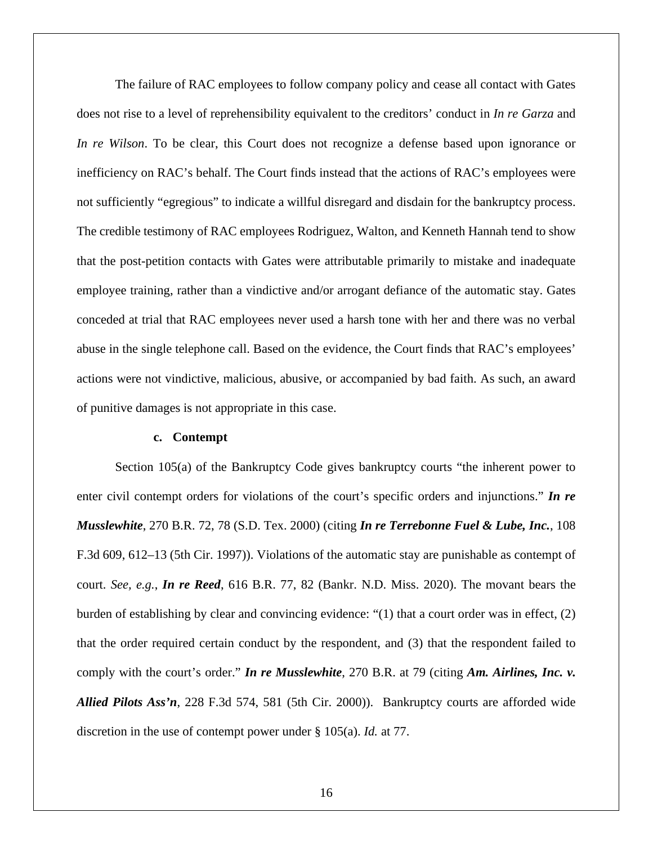The failure of RAC employees to follow company policy and cease all contact with Gates does not rise to a level of reprehensibility equivalent to the creditors' conduct in *In re Garza* and *In re Wilson*. To be clear, this Court does not recognize a defense based upon ignorance or inefficiency on RAC's behalf. The Court finds instead that the actions of RAC's employees were not sufficiently "egregious" to indicate a willful disregard and disdain for the bankruptcy process. The credible testimony of RAC employees Rodriguez, Walton, and Kenneth Hannah tend to show that the post-petition contacts with Gates were attributable primarily to mistake and inadequate employee training, rather than a vindictive and/or arrogant defiance of the automatic stay. Gates conceded at trial that RAC employees never used a harsh tone with her and there was no verbal abuse in the single telephone call. Based on the evidence, the Court finds that RAC's employees' actions were not vindictive, malicious, abusive, or accompanied by bad faith. As such, an award of punitive damages is not appropriate in this case.

#### **c. Contempt**

Section 105(a) of the Bankruptcy Code gives bankruptcy courts "the inherent power to enter civil contempt orders for violations of the court's specific orders and injunctions." *In re Musslewhite*, 270 B.R. 72, 78 (S.D. Tex. 2000) (citing *In re Terrebonne Fuel & Lube, Inc.*, 108 F.3d 609, 612–13 (5th Cir. 1997)). Violations of the automatic stay are punishable as contempt of court. *See, e.g.*, *In re Reed*, 616 B.R. 77, 82 (Bankr. N.D. Miss. 2020). The movant bears the burden of establishing by clear and convincing evidence: "(1) that a court order was in effect, (2) that the order required certain conduct by the respondent, and (3) that the respondent failed to comply with the court's order." *In re Musslewhite*, 270 B.R. at 79 (citing *Am. Airlines, Inc. v. Allied Pilots Ass'n*, 228 F.3d 574, 581 (5th Cir. 2000)). Bankruptcy courts are afforded wide discretion in the use of contempt power under § 105(a). *Id.* at 77.